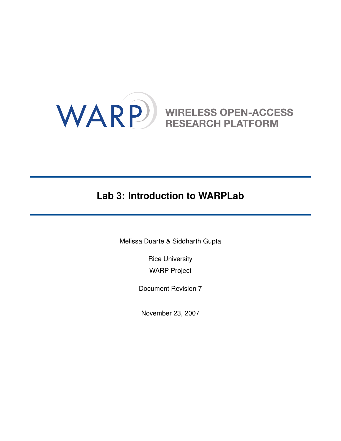

# **Lab 3: Introduction to WARPLab**

Melissa Duarte & Siddharth Gupta

Rice University WARP Project

Document Revision 7

November 23, 2007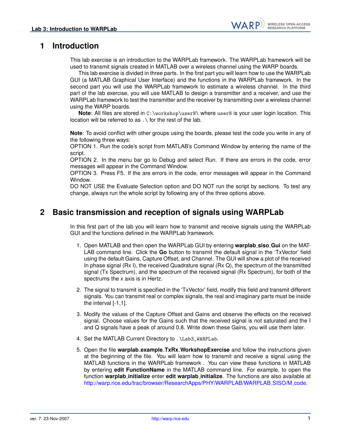#### **1 Introduction**

This lab exercise is an introduction to the WARPLab framework. The WARPLab framework will be used to transmit signals created in MATLAB over a wireless channel using the WARP boards.

This lab exercise is divided in three parts. In the first part you will learn how to use the WARPLab GUI (a MATLAB Graphical User Interface) and the functions in the WARPLab framework. In the second part you will use the WARPLab framework to estimate a wireless channel. In the third part of the lab exercise, you will use MATLAB to design a transmitter and a receiver, and use the WARPLab framework to test the transmitter and the receiver by transmitting over a wireless channel using the WARP boards.

**Note**: All files are stored in C:\workshop\userN\ where userN is your user login location. This location will be referred to as .\ for the rest of the lab.

**Note**: To avoid conflict with other groups using the boards, please test the code you write in any of the following three ways:

OPTION 1. Run the code's script from MATLAB's Command Window by entering the name of the script.

OPTION 2. In the menu bar go to Debug and select Run. If there are errors in the code, error messages will appear in the Command Window.

OPTION 3. Press F5. If the are errors in the code, error messages will appear in the Command Window.

DO NOT USE the Evaluate Selection option and DO NOT run the script by sections. To test any change, always run the whole script by following any of the three options above.

#### **2 Basic transmission and reception of signals using WARPLab**

In this first part of the lab you will learn how to transmit and receive signals using the WARPLab GUI and the functions defined in the WARPLab framework.

- 1. Open MATLAB and then open the WARPLab GUI by entering **warplab siso Gui** on the MAT-LAB command line. Click the **Go** button to transmit the default signal in the 'TxVector' field using the default Gains, Capture Offset, and Channel. The GUI will show a plot of the received In phase signal (Rx I), the received Quadrature signal (Rx Q), the spectrum of the transmitted signal (Tx Spectrum), and the spectrum of the received signal (Rx Spectrum), for both of the spectrums the x axis is in Hertz.
- 2. The signal to transmit is specified in the 'TxVector' field, modify this field and transmit different signals. You can transmit real or complex signals, the real and imaginary parts must be inside the interval [-1,1].
- 3. Modify the values of the Capture Offset and Gains and observe the effects on the received signal. Choose values for the Gains such that the received signal is not saturated and the I and Q signals have a peak of around 0.8. Write down these Gains, you will use them later.
- 4. Set the MATLAB Current Directory to .\Lab3\_WARPLab.
- 5. Open the file **warplab example TxRx WorkshopExercise** and follow the instructions given at the beginning of the file. You will learn how to transmit and receive a signal using the MATLAB functions in the WARPLab framework . You can view these functions in MATLAB by entering **edit FunctionName** in the MATLAB command line. For example, to open the function **warplab initialize** enter **edit warplab initialize**. The functions are also available at [http://warp.rice.edu/trac/browser/ResearchApps/PHY/WARPLAB/WARPLAB](http://warp.rice.edu/trac/browser/ResearchApps/PHY/WARPLAB/WARPLAB_SISO/M_code)\_SISO/M\_code.